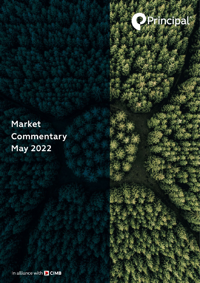

# **Market** Commentary **May 2022**

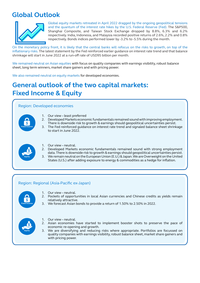# **Global Outlook**



Global equity markets retreated in April 2022 dragged by the ongoing geopolitical tensions and the quantum of the interest rate hikes by the U.S. Federal Reserve (Fed). The S&P500, Shanghai Composite, and Taiwan Stock Exchange dropped by 8.8%, 6.3% and 6.2% respectively. India, Indonesia, and Malaysia recorded positive returns of 2.6%, 2.2% and 0.8% respectively. Bonds indices performed lower by -3.2% to -5.5% during the month.

On the monetary policy front, it is likely that the central banks will refocus on the risks to growth, on top of the inflationary risks. The latest statement by the Fed reinforced earlier guidance on interest rate trend and that balance shrinkage will start in June 2022 at a run-off rate of USD95 billion per month.

We remained neutral on Asian equities with focus on quality companies with earnings visibility, robust balance sheet, long term winners, market share gainers and with pricing power.

We also remained neutral on equity markets for developed economies.

## **General outlook of the two capital markets: Fixed Income & Equity**

### Region: Developed economies

- **Fixed Income**
- 1. Our view least preferred
- 2. Developed Markets economic fundamentals remained sound with improving employment. There is downside risk to growth & earnings should geopolitical uncertainties persist.
- 3. The Fed reinforced guidance on interest rate trend and signaled balance sheet shrinkage to start in June 2022.



- 1. Our view neutral.
- 2. Developed Markets economic fundamentals remained sound with strong employment data. There is downside risk to growth & earnings should geopolitical uncertainties persist.
- 3. We remain neutral on the European Union (E.U.) & Japan. We are Overweight on the United States (U.S.) after adding exposure to energy & commodities as a hedge for inflation.

### Region: Regional (Asia-Pacific ex-Japan)



- 1. Our view neutral.
- 2. Pockets of opportunities in local Asian currencies and Chinese credits as yields remain relatively attractive.
- 3. We forecast Asian bonds to provide a return of 1.50% to 2.50% in 2022.



- 1. Our view neutral.
- 2. Asian economies have started to implement booster shots to preserve the pace of economic re-opening and growth.
- 3. We are diversifying and reducing risks where appropriate. Portfolios are focussed on quality companies with earnings visibility, robust balance sheet, market share gainers and with pricing power.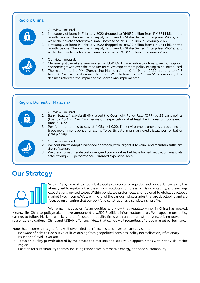### Region: China



**Equity**

- 1. Our view neutral.
- 2. Net supply of bond in February 2022 dropped to RM632 billion from RMB711 billion the month before. The decline in supply is driven by State-Owned Enterprises (SOEs) and while the private sector saw a small increase of RMB11 billion in February 2022.
- 3. Net supply of bond in February 2022 dropped to RM632 billion from RMB711 billion the month before. The decline in supply is driven by State-Owned Enterprises (SOEs) and while the private sector saw a small increase of RMB11 billion in February 2022.
- 1. Our view neutral.
- 2. Chinese policymakers announced a USD2.6 trillion infrastructure plan to support economic growth over the medium term. We expect more policy easing to be introduced.
- 3. The manufacturing PMI (Purchasing Managers' Index) for March 2022 dropped to 49.5 from 50.2 while the Non-manufacturing PMI declined to 48.4 from 51.6 previously. The declines reflected the impact of the lockdowns implemented.

#### Region: Domestic (Malaysia)



- 1. Our view neutral.
- 2. Bank Negara Malaysia (BNM) raised the Overnight Policy Rate (OPR) by 25 basis points (bps) to 2.0% in May 2022 versus our expectation of at least 1x-2x hikes of 25bps each time in 2022.
- 3. Portfolio duration is to stay at 1.05x +/1 0.20. The environment provides an opening to trade government bonds for alpha. To participate in primary credit issuances for better yield pick-up.
- **Equity**
- Our view neutral.
- 2. We continue to adopt a balanced approach, with larger tilt to value, and maintain sufficient diversification.
- 3. We prefer consumer discretionary, and commodities but have turned neutral on financials after strong YTD performance. Trimmed expensive Tech.

### **Our Strategy**



Within Asia, we maintained a balanced preference for equities and bonds. Uncertainty has already led to equity price-to-earnings multiples compressing, rising volatility, and earnings expectations revised lower. Within bonds, we prefer local and regional to global developed market fixed income. We are mindful of the various risk scenarios that are developing and are focused on ensuring that our portfolio construct has a sensible risk profile.

We remain neutral on Asian equities and view that requiatory risk in China has peaked. Meanwhile, Chinese policymakers have announced a USD2.6 trillion infrastructure plan. We expect more policy easings to follow. Markets are likely to be focused on quality firms with unique growth drivers, pricing power and reasonable valuations. China and ASEAN offer such ideas that can do well regardless of broad market performance.

Note that income is integral for a well-diversified portfolio. In short, investors are advised to:

- Be aware of risks to ride out volatilities arising from geopolitical tensions, policy normalisation, inflationary issues and Covid19 variant.
- Focus on quality growth offered by the developed markets and seek value opportunities within the Asia-Pacific region.
- Position for sustainability themes including renewables, alternative energy, and food sustainability.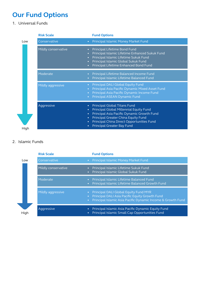# **Our Fund Options**

1. Universal Funds

|      | <b>Risk Scale</b>   | <b>Fund Options</b>                                                                                                                                                                                                                                                                                                                 |
|------|---------------------|-------------------------------------------------------------------------------------------------------------------------------------------------------------------------------------------------------------------------------------------------------------------------------------------------------------------------------------|
| Low  | Conservative        | Principal Islamic Money Market Fund<br>$\bullet$                                                                                                                                                                                                                                                                                    |
|      | Mildly conservative | Principal Lifetime Bond Fund<br>$\bullet$<br>Principal Islamic Lifetime Enhanced Sukuk Fund<br>$\bullet$<br>Principal Islamic Lifetime Sukuk Fund<br>$\bullet$<br>Principal Islamic Global Sukuk Fund<br>$\bullet$<br>Principal Lifetime Enhanced Bond Fund<br>$\bullet$                                                            |
|      | Moderate            | Principal Lifetime Balanced Income Fund<br>$\bullet$<br>Principal Islamic Lifetime Balanced Fund<br>$\bullet$                                                                                                                                                                                                                       |
|      | Mildly aggressive   | Principal DALI Global Equity Fund<br>$\bullet$<br>Principal Asia Pacific Dynamic Mixed Asset Fund<br>$\bullet$<br>Principal Asia Pacific Dynamic Income Fund<br>$\bullet$<br>Principal ASEAN Dynamic Fund<br>$\bullet$                                                                                                              |
| High | Aggressive          | <b>Principal Global Titans Fund</b><br>$\bullet$<br>Principal Global Millennial Equity Fund<br>$\bullet$<br>Principal Asia Pacific Dynamic Growth Fund<br>$\bullet$<br>Principal Greater China Equity Fund<br>$\bullet$<br>Principal China Direct Opportunities Fund<br>$\bullet$<br><b>Principal Greater Bay Fund</b><br>$\bullet$ |

### 2. Islamic Funds

|      | <b>Risk Scale</b>   | <b>Fund Options</b>                                                                                                                                                                |
|------|---------------------|------------------------------------------------------------------------------------------------------------------------------------------------------------------------------------|
| Low  | Conservative        | • Principal Islamic Money Market Fund                                                                                                                                              |
|      | Mildly conservative | Principal Islamic Lifetime Sukuk Fund<br>$\bullet$<br>Principal Islamic Global Sukuk Fund<br>$\bullet$                                                                             |
|      | Moderate            | Principal Islamic Lifetime Balanced Fund<br>$\bullet$<br>Principal Islamic Lifetime Balanced Growth Fund<br>$\bullet$ .                                                            |
|      | Mildly aggressive   | • Principal DALI Global Equity Fund MYR<br>Principal DALI Asia Pacific Equity Growth Fund<br>$\bullet$<br>Principal Islamic Asia Pacific Dynamic Income & Growth Fund<br>$\bullet$ |
| High | Aggressive          | Principal Islamic Asia Pacific Dynamic Equity Fund<br>$\bullet$<br>Principal Islamic Small Cap Opportunities Fund<br>$\bullet$                                                     |